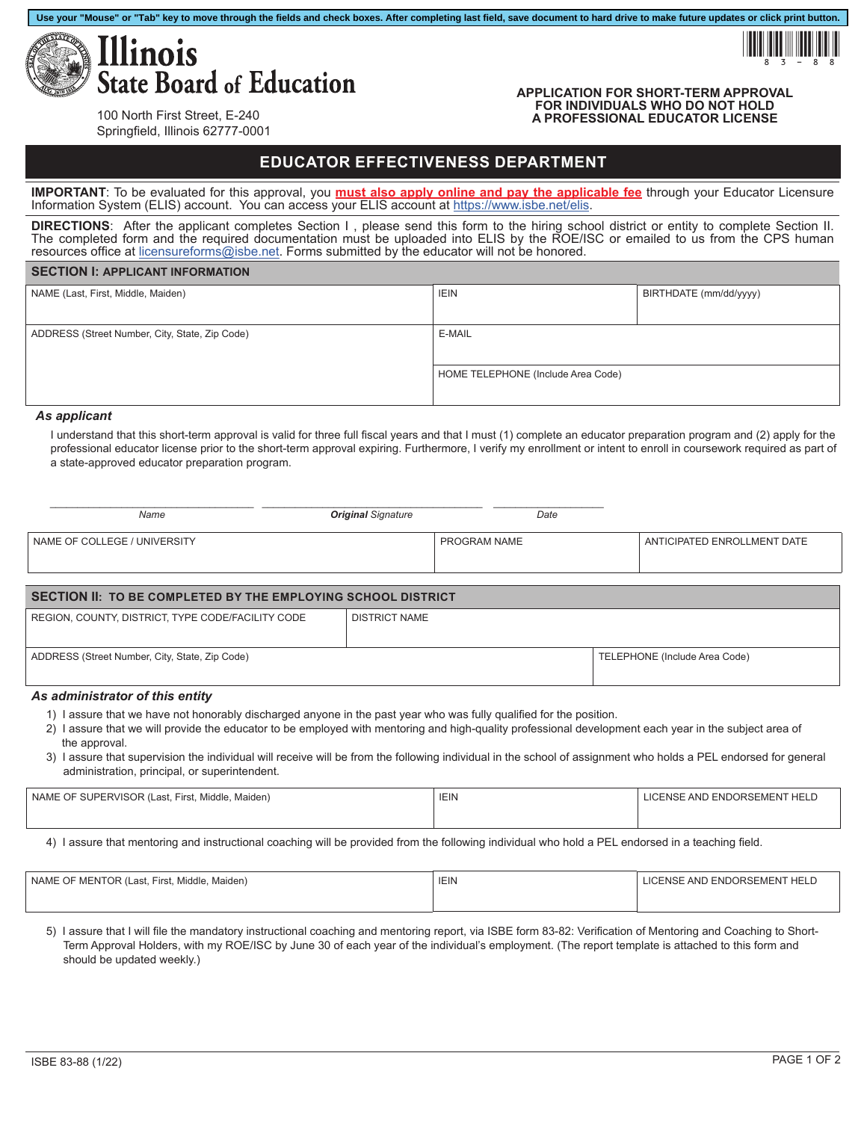



#### **APPLICATION FOR SHORT-TERM APPROVAL FOR INDIVIDUALS WHO DO NOT HOLD A PROFESSIONAL EDUCATOR LICENSE**

100 North First Street, E-240 Springfield, Illinois 62777-0001

# **EDUCATOR EFFECTIVENESS DEPARTMENT**

**IMPORTANT**: To be evaluated for this approval, you **must also apply online and pay the applicable fee** through your Educator Licensure Information System (ELIS) account. You can access your ELIS account at<https://www.isbe.net/elis>.

**DIRECTIONS**: After the applicant completes Section I , please send this form to the hiring school district or entity to complete Section II. The completed form and the required documentation must be uploaded into ELIS by the ROE/ISC or emailed to us from the CPS human resources office at [licensureforms@isbe.net](mailto:licensureforms%40isbe.net?subject=). Forms submitted by the educator will not be honored.

## **SECTION I: APPLICANT INFORMATION**

| NAME (Last, First, Middle, Maiden)             | <b>IEIN</b>                        | BIRTHDATE (mm/dd/yyyy) |
|------------------------------------------------|------------------------------------|------------------------|
|                                                |                                    |                        |
| ADDRESS (Street Number, City, State, Zip Code) | E-MAIL                             |                        |
|                                                |                                    |                        |
|                                                | HOME TELEPHONE (Include Area Code) |                        |
|                                                |                                    |                        |

# *As applicant*

I understand that this short-term approval is valid for three full fiscal years and that I must (1) complete an educator preparation program and (2) apply for the professional educator license prior to the short-term approval expiring. Furthermore, I verify my enrollment or intent to enroll in coursework required as part of a state-approved educator preparation program.

| Name                         | <b>Original Signature</b> | Date         |                             |
|------------------------------|---------------------------|--------------|-----------------------------|
| NAME OF COLLEGE / UNIVERSITY |                           | PROGRAM NAME | ANTICIPATED ENROLLMENT DATE |

| SECTION II: TO BE COMPLETED BY THE EMPLOYING SCHOOL DISTRICT |                      |                               |
|--------------------------------------------------------------|----------------------|-------------------------------|
| REGION, COUNTY, DISTRICT, TYPE CODE/FACILITY CODE            | <b>DISTRICT NAME</b> |                               |
|                                                              |                      |                               |
| ADDRESS (Street Number, City, State, Zip Code)               |                      | TELEPHONE (Include Area Code) |
|                                                              |                      |                               |

## *As administrator of this entity*

- 1) I assure that we have not honorably discharged anyone in the past year who was fully qualified for the position.
- 2) I assure that we will provide the educator to be employed with mentoring and high-quality professional development each year in the subject area of the approval.
- 3) I assure that supervision the individual will receive will be from the following individual in the school of assignment who holds a PEL endorsed for general administration, principal, or superintendent.

| NAME OF SUPERVISOR (Last, First, Middle, Maiden) | <b>IEIN</b> | LICENSE AND ENDORSEMENT HELD |
|--------------------------------------------------|-------------|------------------------------|
|                                                  |             |                              |

4) I assure that mentoring and instructional coaching will be provided from the following individual who hold a PEL endorsed in a teaching field.

| NAME OF MENTOR (Last, First, Middle, Maiden) | <b>IEIN</b> | LICENSE AND ENDORSEMENT HELD |
|----------------------------------------------|-------------|------------------------------|
|                                              |             |                              |

5) I assure that I will file the mandatory instructional coaching and mentoring report, via ISBE form 83-82: Verification of Mentoring and Coaching to Short-Term Approval Holders, with my ROE/ISC by June 30 of each year of the individual's employment. (The report template is attached to this form and should be updated weekly.)